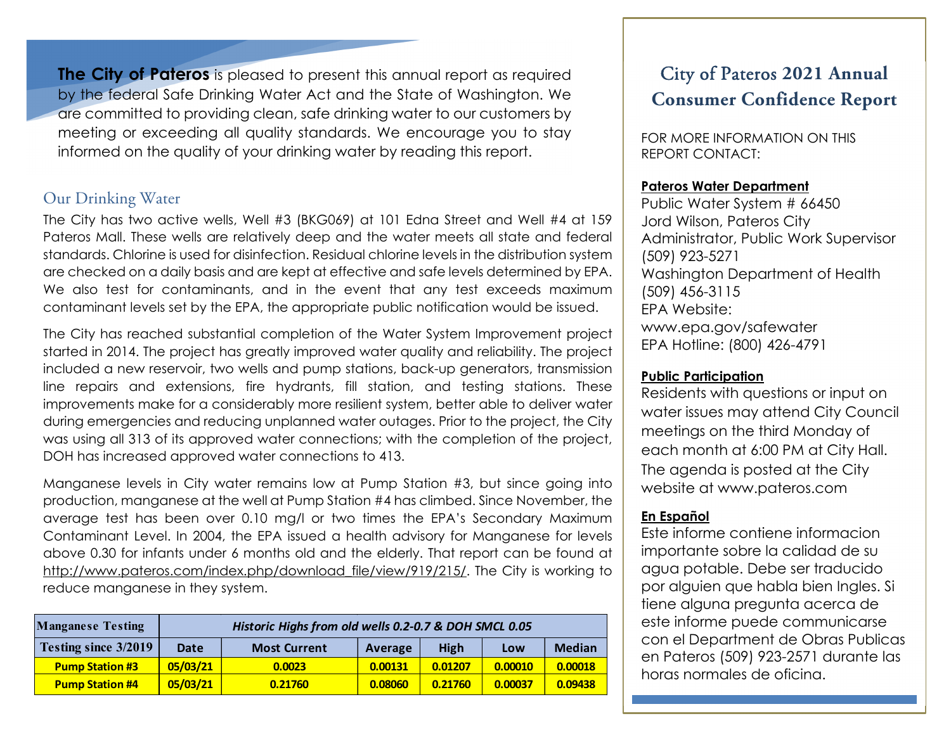**The City of Pateros** is pleased to present this annual report as required by the federal Safe Drinking Water Act and the State of Washington. We are committed to providing clean, safe drinking water to our customers by meeting or exceeding all quality standards. We encourage you to stay informed on the quality of your drinking water by reading this report.

## Our Drinking Water

The City has two active wells, Well #3 (BKG069) at 101 Edna Street and Well #4 at 159 Pateros Mall. These wells are relatively deep and the water meets all state and federal standards. Chlorine is used for disinfection. Residual chlorine levels in the distribution system are checked on a daily basis and are kept at effective and safe levels determined by EPA. We also test for contaminants, and in the event that any test exceeds maximum contaminant levels set by the EPA, the appropriate public notification would be issued.

The City has reached substantial completion of the Water System Improvement project started in 2014. The project has greatly improved water quality and reliability. The project included a new reservoir, two wells and pump stations, back-up generators, transmission line repairs and extensions, fire hydrants, fill station, and testing stations. These improvements make for a considerably more resilient system, better able to deliver water during emergencies and reducing unplanned water outages. Prior to the project, the City was using all 313 of its approved water connections; with the completion of the project, DOH has increased approved water connections to 413.

Manganese levels in City water remains low at Pump Station #3, but since going into production, manganese at the well at Pump Station #4 has climbed. Since November, the average test has been over 0.10 mg/l or two times the EPA's Secondary Maximum Contaminant Level. In 2004, the EPA issued a health advisory for Manganese for levels above 0.30 for infants under 6 months old and the elderly. That report can be found at http://www.pateros.com/index.php/download\_file/view/919/215/. The City is working to reduce manganese in they system.

| <b>Manganese Testing</b>    | Historic Highs from old wells 0.2-0.7 & DOH SMCL 0.05 |                     |         |             |         |               |  |
|-----------------------------|-------------------------------------------------------|---------------------|---------|-------------|---------|---------------|--|
| <b>Testing since 3/2019</b> | Date                                                  | <b>Most Current</b> | Average | <b>High</b> | Low     | <b>Median</b> |  |
| <b>Pump Station #3</b>      | 05/03/21                                              | 0.0023              | 0.00131 | 0.01207     | 0.00010 | 0.00018       |  |
| <b>Pump Station #4</b>      | 05/03/21                                              | 0.21760             | 0.08060 | 0.21760     | 0.00037 | 0.09438       |  |

## City of Pateros **2021 Annual Consumer Confidence Report**

FOR MORE INFORMATION ON THIS REPORT CONTACT:

### **Pateros Water Department**

Public Water System # 66450 Jord Wilson, Pateros City Administrator, Public Work Supervisor (509) 923-5271 Washington Department of Health (509) 456-3115 EPA Website: www.epa.gov/safewater EPA Hotline: (800) 426-4791

### **Public Participation**

Residents with questions or input on water issues may attend City Council meetings on the third Monday of each month at 6:00 PM at City Hall. The agenda is posted at the City website at www.pateros.com

### **En Español**

Este informe contiene informacion importante sobre la calidad de su agua potable. Debe ser traducido por alguien que habla bien Ingles. Si tiene alguna pregunta acerca de este informe puede communicarse con el Department de Obras Publicas en Pateros (509) 923-2571 durante las horas normales de oficina.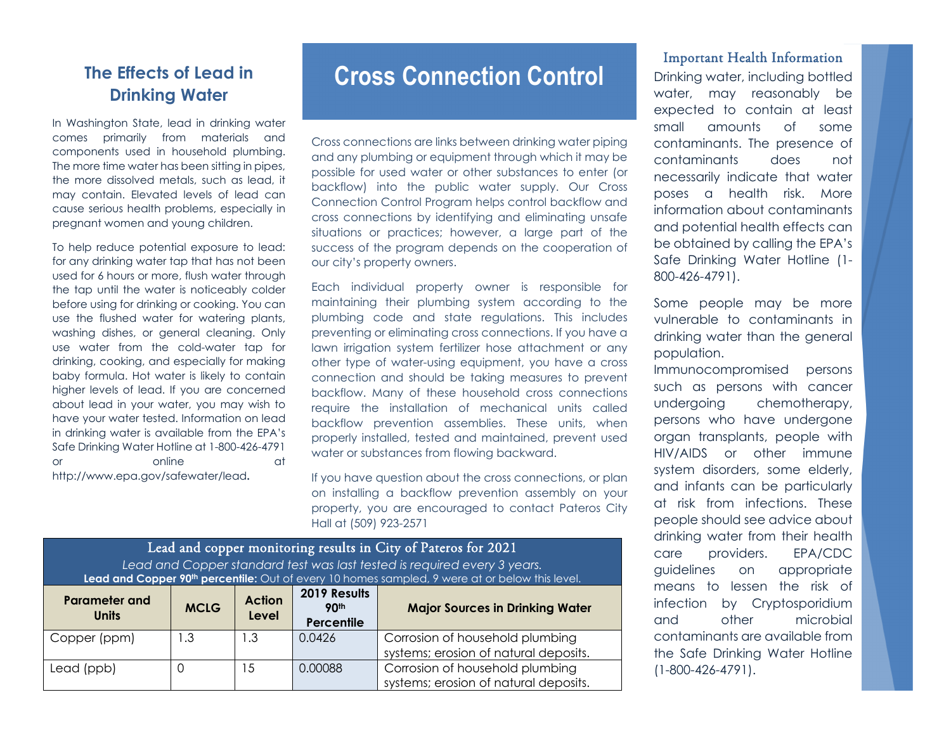## **The Effects of Lead in Drinking Water**

In Washington State, lead in drinking water comes primarily from materials and components used in household plumbing. The more time water has been sitting in pipes, the more dissolved metals, such as lead, it may contain. Elevated levels of lead can cause serious health problems, especially in pregnant women and young children.

To help reduce potential exposure to lead: for any drinking water tap that has not been used for 6 hours or more, flush water through the tap until the water is noticeably colder before using for drinking or cooking. You can use the flushed water for watering plants, washing dishes, or general cleaning. Only use water from the cold-water tap for drinking, cooking, and especially for making baby formula. Hot water is likely to contain higher levels of lead. If you are concerned about lead in your water, you may wish to have your water tested. Information on lead in drinking water is available from the EPA's Safe Drinking Water Hotline at 1-800-426-4791 or online at a contract of the contract of the contract of the contract of the contract of the contract of the contract of the contract of the contract of the contract of the contract of the contract of the contract of the http://www.epa.gov/safewater/lead**.**

# **Cross Connection Control**

Cross connections are links between drinking water piping and any plumbing or equipment through which it may be possible for used water or other substances to enter (or backflow) into the public water supply. Our Cross Connection Control Program helps control backflow and cross connections by identifying and eliminating unsafe situations or practices; however, a large part of the success of the program depends on the cooperation of our city's property owners.

Each individual property owner is responsible for maintaining their plumbing system according to the plumbing code and state regulations. This includes preventing or eliminating cross connections. If you have a lawn irrigation system fertilizer hose attachment or any other type of water-using equipment, you have a cross connection and should be taking measures to prevent backflow. Many of these household cross connections require the installation of mechanical units called backflow prevention assemblies. These units, when properly installed, tested and maintained, prevent used water or substances from flowing backward.

If you have question about the cross connections, or plan on installing a backflow prevention assembly on your property, you are encouraged to contact Pateros City Hall at (509) 923-2571

| Lead and copper monitoring results in City of Pateros for 2021<br>Lead and Copper standard test was last tested is required every 3 years.<br>Lead and Copper 90 <sup>th</sup> percentile: Out of every 10 homes sampled, 9 were at or below this level. |                                        |                         |         |                                                                          |  |  |  |
|----------------------------------------------------------------------------------------------------------------------------------------------------------------------------------------------------------------------------------------------------------|----------------------------------------|-------------------------|---------|--------------------------------------------------------------------------|--|--|--|
| <b>Parameter and</b><br><b>Units</b>                                                                                                                                                                                                                     | <b>Major Sources in Drinking Water</b> |                         |         |                                                                          |  |  |  |
| Copper (ppm)                                                                                                                                                                                                                                             | ∣.3                                    | $\mathsf{L}.\mathsf{3}$ | 0.0426  | Corrosion of household plumbing<br>systems; erosion of natural deposits. |  |  |  |
| Lead (ppb)                                                                                                                                                                                                                                               |                                        | -5                      | 0.00088 | Corrosion of household plumbing<br>systems; erosion of natural deposits. |  |  |  |

#### Important Health Information

Drinking water, including bottled water, may reasonably be expected to contain at least small amounts of some contaminants. The presence of contaminants does not necessarily indicate that water poses a health risk. More information about contaminants and potential health effects can be obtained by calling the EPA's Safe Drinking Water Hotline (1- 800-426-4791).

Some people may be more vulnerable to contaminants in drinking water than the general population.

Immunocompromised persons such as persons with cancer undergoing chemotherapy, persons who have undergone organ transplants, people with HIV/AIDS or other immune system disorders, some elderly, and infants can be particularly at risk from infections. These people should see advice about drinking water from their health care providers. EPA/CDC guidelines on appropriate means to lessen the risk of infection by Cryptosporidium and other microbial contaminants are available from the Safe Drinking Water Hotline (1-800-426-4791).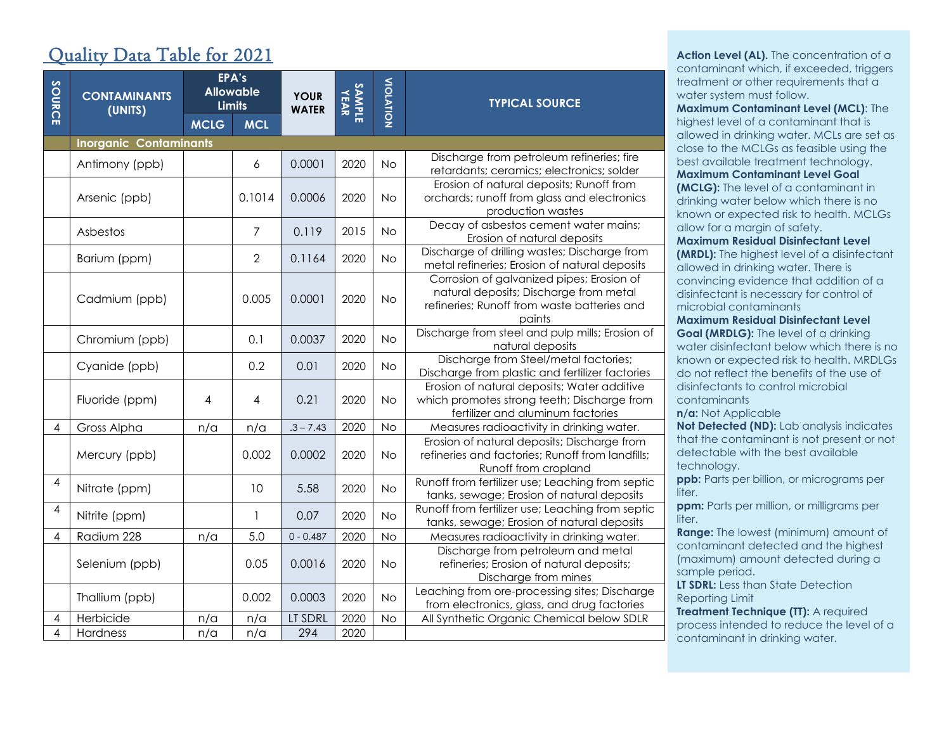## Quality Data Table for 2021

| SOURCE                   | <b>CONTAMINANTS</b><br>(UNITS) |             | EPA's<br><b>Allowable</b><br><b>Limits</b> | <b>YOUR</b><br><b>WATER</b> | <b>SAMPLE</b><br>YEAR | VIOLATION | <b>TYPICAL SOURCE</b>                                                                                                                        |  |
|--------------------------|--------------------------------|-------------|--------------------------------------------|-----------------------------|-----------------------|-----------|----------------------------------------------------------------------------------------------------------------------------------------------|--|
|                          |                                | <b>MCLG</b> | <b>MCL</b>                                 |                             |                       |           |                                                                                                                                              |  |
|                          | <b>Inorganic Contaminants</b>  |             |                                            |                             |                       |           |                                                                                                                                              |  |
|                          | Antimony (ppb)                 |             | 6                                          | 0.0001                      | 2020                  | No        | Discharge from petroleum refineries; fire<br>retardants; ceramics; electronics; solder                                                       |  |
|                          | Arsenic (ppb)                  |             | 0.1014                                     | 0.0006                      | 2020                  | No        | Erosion of natural deposits; Runoff from<br>orchards; runoff from glass and electronics<br>production wastes                                 |  |
|                          | Asbestos                       |             | $\overline{7}$                             | 0.119                       | 2015                  | <b>No</b> | Decay of asbestos cement water mains;<br>Erosion of natural deposits                                                                         |  |
|                          | Barium (ppm)                   |             | $\overline{2}$                             | 0.1164                      | 2020                  | No        | Discharge of drilling wastes; Discharge from<br>metal refineries; Erosion of natural deposits                                                |  |
|                          | Cadmium (ppb)                  |             | 0.005                                      | 0.0001                      | 2020                  | <b>No</b> | Corrosion of galvanized pipes; Erosion of<br>natural deposits; Discharge from metal<br>refineries; Runoff from waste batteries and<br>paints |  |
|                          | Chromium (ppb)                 |             | 0.1                                        | 0.0037                      | 2020                  | <b>No</b> | Discharge from steel and pulp mills; Erosion of<br>natural deposits                                                                          |  |
|                          | Cyanide (ppb)                  |             | 0.2                                        | 0.01                        | 2020                  | <b>No</b> | Discharge from Steel/metal factories;<br>Discharge from plastic and fertilizer factories                                                     |  |
|                          | Fluoride (ppm)                 | 4           | 4                                          | 0.21                        | 2020                  | <b>No</b> | Erosion of natural deposits; Water additive<br>which promotes strong teeth; Discharge from<br>fertilizer and aluminum factories              |  |
| $\overline{4}$           | Gross Alpha                    | n/a         | n/a                                        | $.3 - 7.43$                 | 2020                  | <b>No</b> | Measures radioactivity in drinking water.                                                                                                    |  |
|                          | Mercury (ppb)                  |             | 0.002                                      | 0.0002                      | 2020                  | <b>No</b> | Erosion of natural deposits; Discharge from<br>refineries and factories; Runoff from landfills;<br>Runoff from cropland                      |  |
| 4                        | Nitrate (ppm)                  |             | 10                                         | 5.58                        | 2020                  | <b>No</b> | Runoff from fertilizer use; Leaching from septic<br>tanks, sewage; Erosion of natural deposits                                               |  |
| $\overline{\mathcal{A}}$ | Nitrite (ppm)                  |             | 1                                          | 0.07                        | 2020                  | <b>No</b> | Runoff from fertilizer use; Leaching from septic<br>tanks, sewage; Erosion of natural deposits                                               |  |
| 4                        | Radium 228                     | n/a         | 5.0                                        | $0 - 0.487$                 | 2020                  | <b>No</b> | Measures radioactivity in drinking water.                                                                                                    |  |
|                          | Selenium (ppb)                 |             | 0.05                                       | 0.0016                      | 2020                  | <b>No</b> | Discharge from petroleum and metal<br>refineries; Erosion of natural deposits;<br>Discharge from mines                                       |  |
|                          | Thallium (ppb)                 |             | 0.002                                      | 0.0003                      | 2020                  | <b>No</b> | Leaching from ore-processing sites; Discharge<br>from electronics, glass, and drug factories                                                 |  |
| 4                        | Herbicide                      | $n/\alpha$  | n/a                                        | LT SDRL                     | 2020                  | <b>No</b> | All Synthetic Organic Chemical below SDLR                                                                                                    |  |
| 4                        | Hardness                       | n/a         | n/a                                        | 294                         | 2020                  |           |                                                                                                                                              |  |

**Action Level (AL).** The concentration of a contaminant which, if exceeded, triggers treatment or other requirements that a water system must follow.

**Maximum Contaminant Level (MCL)**: The highest level of a contaminant that is allowed in drinking water. MCLs are set as close to the MCLGs as feasible using the best available treatment technology. **Maximum Contaminant Level Goal (MCLG):** The level of a contaminant in drinking water below which there is no

known or expected risk to health. MCLGs allow for a margin of safety. **Maximum Residual Disinfectant Level** 

**(MRDL):** The highest level of a disinfectant allowed in drinking water. There is convincing evidence that addition of a disinfectant is necessary for control of microbial contaminants

**Maximum Residual Disinfectant Level Goal (MRDLG):** The level of a drinking water disinfectant below which there is no known or expected risk to health. MRDLGs do not reflect the benefits of the use of disinfectants to control microbial contaminants

**n/a:** Not Applicable

**Not Detected (ND):** Lab analysis indicates that the contaminant is not present or not detectable with the best available technology.

**ppb:** Parts per billion, or micrograms per liter.

**ppm:** Parts per million, or milligrams per liter.

**Range:** The lowest (minimum) amount of contaminant detected and the highest (maximum) amount detected during a sample period.

**LT SDRL:** Less than State Detection Reporting Limit

**Treatment Technique (TT):** A required process intended to reduce the level of a contaminant in drinking water.